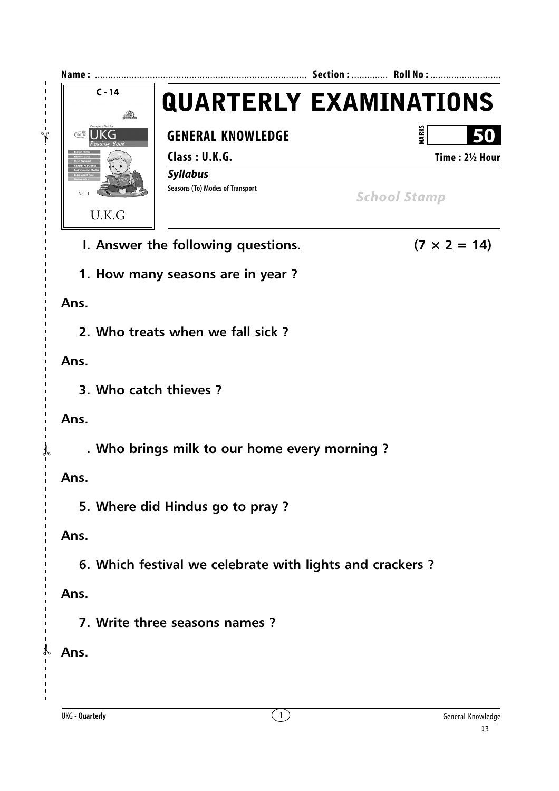

**I. Answer the following questions.** ( $7 \times 2 = 14$ )

**1. How many seasons are in year ?**

**Ans.**

 $\ddot{\ast}$ 

 $\mathbf{I}$ 

 $\mathbf{I}$  $\mathbf I$  $\mathbf{I}$ 

**2. Who treats when we fall sick ?**

**Ans.**

**3. Who catch thieves ?**

**Ans.**

✃

**4. Who brings milk to our home every morning ?**

**Ans.**

**5. Where did Hindus go to pray ?**

**Ans.**

**6. Which festival we celebrate with lights and crackers ?**

**Ans.**

**7. Write three seasons names ?**

**Ans.**

✃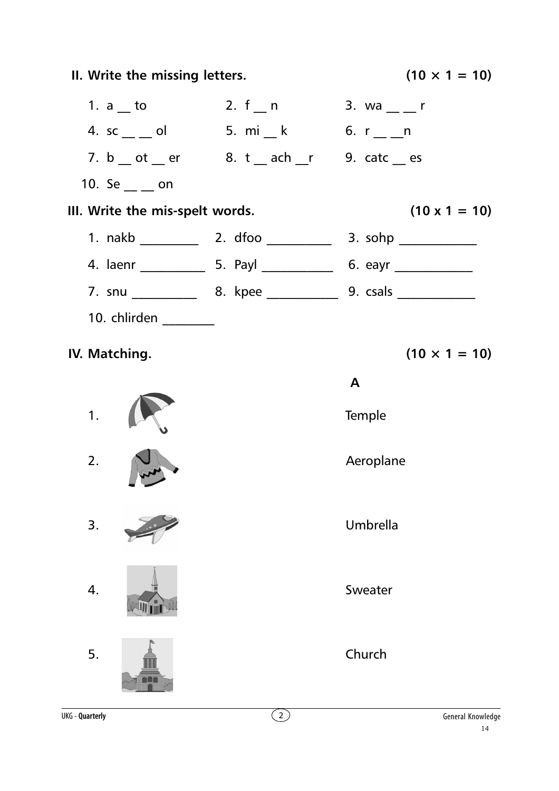